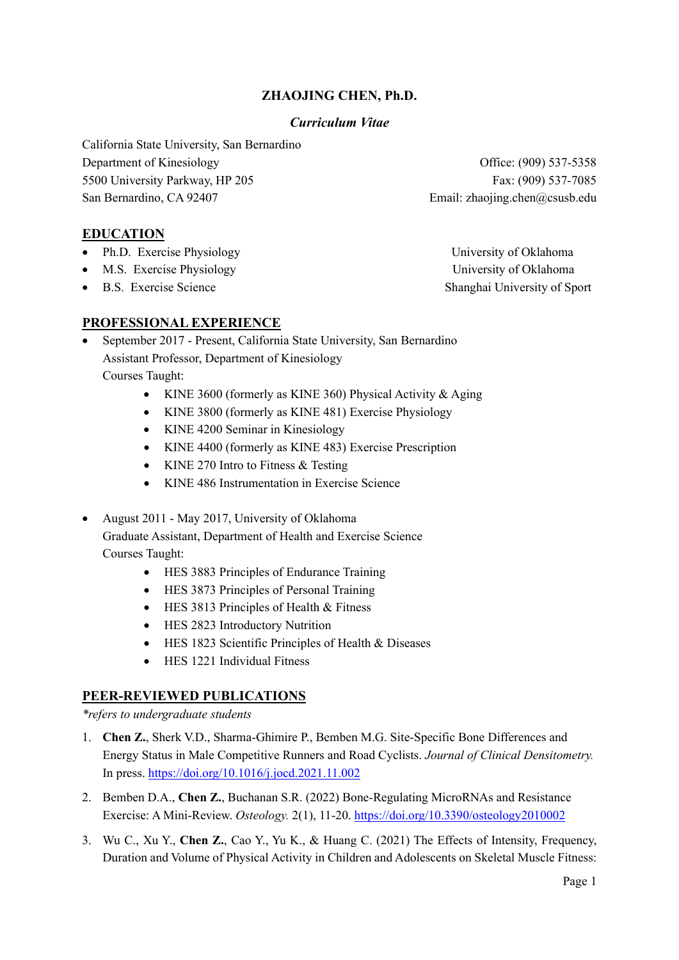## **ZHAOJING CHEN, Ph.D.**

#### *Curriculum Vitae*

California State University, San Bernardino Department of Kinesiology **Office:** (909) 537-5358 5500 University Parkway, HP 205 Fax: (909) 537-7085 San Bernardino, CA 92407 Email: zhaojing.chen@csusb.edu

**EDUCATION**

- Ph.D. Exercise Physiology University of Oklahoma
- M.S. Exercise Physiology **Exercise Physiology University of Oklahoma**
- 

**PROFESSIONAL EXPERIENCE**

- September 2017 Present, California State University, San Bernardino Assistant Professor, Department of Kinesiology Courses Taught:
	- KINE 3600 (formerly as KINE 360) Physical Activity & Aging
	- KINE 3800 (formerly as KINE 481) Exercise Physiology
	- KINE 4200 Seminar in Kinesiology
	- KINE 4400 (formerly as KINE 483) Exercise Prescription
	- KINE 270 Intro to Fitness & Testing
	- KINE 486 Instrumentation in Exercise Science
- August 2011 May 2017, University of Oklahoma Graduate Assistant, Department of Health and Exercise Science Courses Taught:
	- HES 3883 Principles of Endurance Training
	- HES 3873 Principles of Personal Training
	- HES 3813 Principles of Health & Fitness
	- HES 2823 Introductory Nutrition
	- HES 1823 Scientific Principles of Health & Diseases
	- HES 1221 Individual Fitness

### **PEER-REVIEWED PUBLICATIONS**

*\*refers to undergraduate students*

- 1. **Chen Z.**, Sherk V.D., Sharma-Ghimire P., Bemben M.G. Site-Specific Bone Differences and Energy Status in Male Competitive Runners and Road Cyclists. *Journal of Clinical Densitometry.* In press.<https://doi.org/10.1016/j.jocd.2021.11.002>
- 2. Bemben D.A., **Chen Z.**, Buchanan S.R. (2022) Bone-Regulating MicroRNAs and Resistance Exercise: A Mini-Review. *Osteology.* 2(1), 11-20[. https://doi.org/10.3390/osteology2010002](https://doi.org/10.3390/osteology2010002)
- 3. Wu C., Xu Y., **Chen Z.**, Cao Y., Yu K., & Huang C. (2021) The Effects of Intensity, Frequency, Duration and Volume of Physical Activity in Children and Adolescents on Skeletal Muscle Fitness:

• B.S. Exercise Science Shanghai University of Sport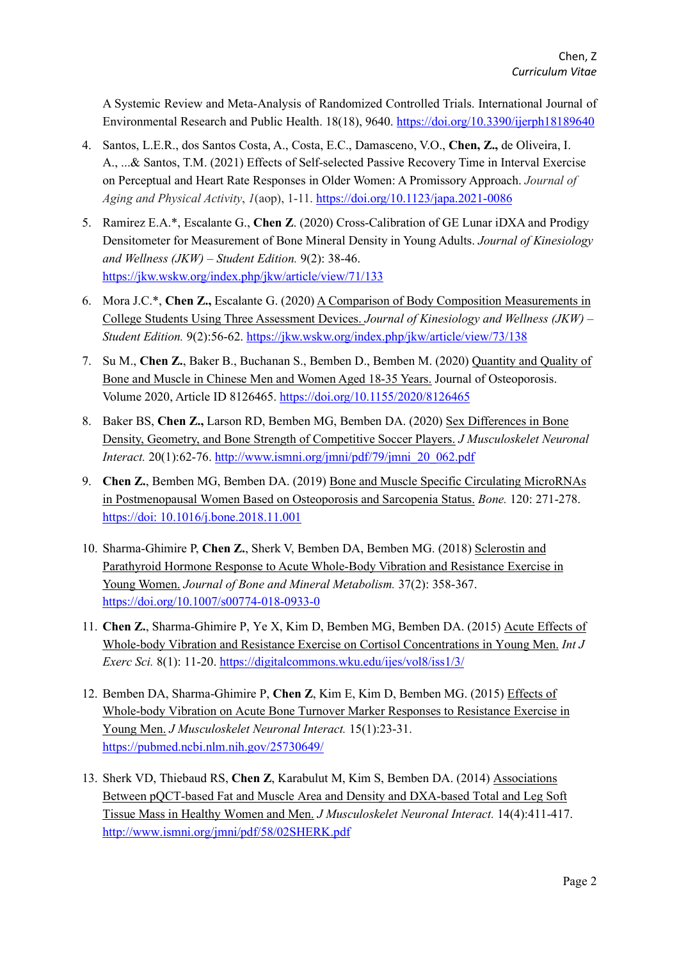A Systemic Review and Meta-Analysis of Randomized Controlled Trials. International Journal of Environmental Research and Public Health. 18(18), 9640.<https://doi.org/10.3390/ijerph18189640>

- 4. Santos, L.E.R., dos Santos Costa, A., Costa, E.C., Damasceno, V.O., **Chen, Z.,** de Oliveira, I. A., ...& Santos, T.M. (2021) Effects of Self-selected Passive Recovery Time in Interval Exercise on Perceptual and Heart Rate Responses in Older Women: A Promissory Approach. *Journal of Aging and Physical Activity*, *1*(aop), 1-11.<https://doi.org/10.1123/japa.2021-0086>
- 5. Ramirez E.A.\*, Escalante G., **Chen Z**. (2020) Cross-Calibration of GE Lunar iDXA and Prodigy Densitometer for Measurement of Bone Mineral Density in Young Adults. *Journal of Kinesiology and Wellness (JKW) – Student Edition.* 9(2): 38-46. <https://jkw.wskw.org/index.php/jkw/article/view/71/133>
- 6. Mora J.C.\*, **Chen Z.,** Escalante G. (2020) A Comparison of Body Composition Measurements in College Students Using Three Assessment Devices. *Journal of Kinesiology and Wellness (JKW) – Student Edition.* 9(2):56-62.<https://jkw.wskw.org/index.php/jkw/article/view/73/138>
- 7. Su M., **Chen Z.**, Baker B., Buchanan S., Bemben D., Bemben M. (2020) Quantity and Quality of Bone and Muscle in Chinese Men and Women Aged 18-35 Years. Journal of Osteoporosis. Volume 2020, Article ID 8126465.<https://doi.org/10.1155/2020/8126465>
- 8. Baker BS, **Chen Z.,** Larson RD, Bemben MG, Bemben DA. (2020) Sex Differences in Bone Density, Geometry, and Bone Strength of Competitive Soccer Players. *J Musculoskelet Neuronal Interact.* 20(1):62-76. [http://www.ismni.org/jmni/pdf/79/jmni\\_20\\_062.pdf](http://www.ismni.org/jmni/pdf/79/jmni_20_062.pdf)
- 9. **Chen Z.**, Bemben MG, Bemben DA. (2019) Bone and Muscle Specific Circulating MicroRNAs in Postmenopausal Women Based on Osteoporosis and Sarcopenia Status. *Bone.* 120: 271-278. https://doi: 10.1016/j.bone.2018.11.001
- 10. Sharma-Ghimire P, **Chen Z.**, Sherk V, Bemben DA, Bemben MG. (2018) Sclerostin and Parathyroid Hormone Response to Acute Whole-Body Vibration and Resistance Exercise in Young Women. *Journal of Bone and Mineral Metabolism.* 37(2): 358-367. <https://doi.org/10.1007/s00774-018-0933-0>
- 11. **Chen Z.**, Sharma-Ghimire P, Ye X, Kim D, Bemben MG, Bemben DA. (2015) Acute Effects of Whole-body Vibration and Resistance Exercise on Cortisol Concentrations in Young Men. *Int J Exerc Sci.* 8(1): 11-20. <https://digitalcommons.wku.edu/ijes/vol8/iss1/3/>
- 12. Bemben DA, Sharma-Ghimire P, **Chen Z**, Kim E, Kim D, Bemben MG. (2015) Effects of Whole-body Vibration on Acute Bone Turnover Marker Responses to Resistance Exercise in Young Men. *J Musculoskelet Neuronal Interact.* 15(1):23-31. <https://pubmed.ncbi.nlm.nih.gov/25730649/>
- 13. Sherk VD, Thiebaud RS, **Chen Z**, Karabulut M, Kim S, Bemben DA. (2014) Associations Between pQCT-based Fat and Muscle Area and Density and DXA-based Total and Leg Soft Tissue Mass in Healthy Women and Men. *J Musculoskelet Neuronal Interact.* 14(4):411-417. <http://www.ismni.org/jmni/pdf/58/02SHERK.pdf>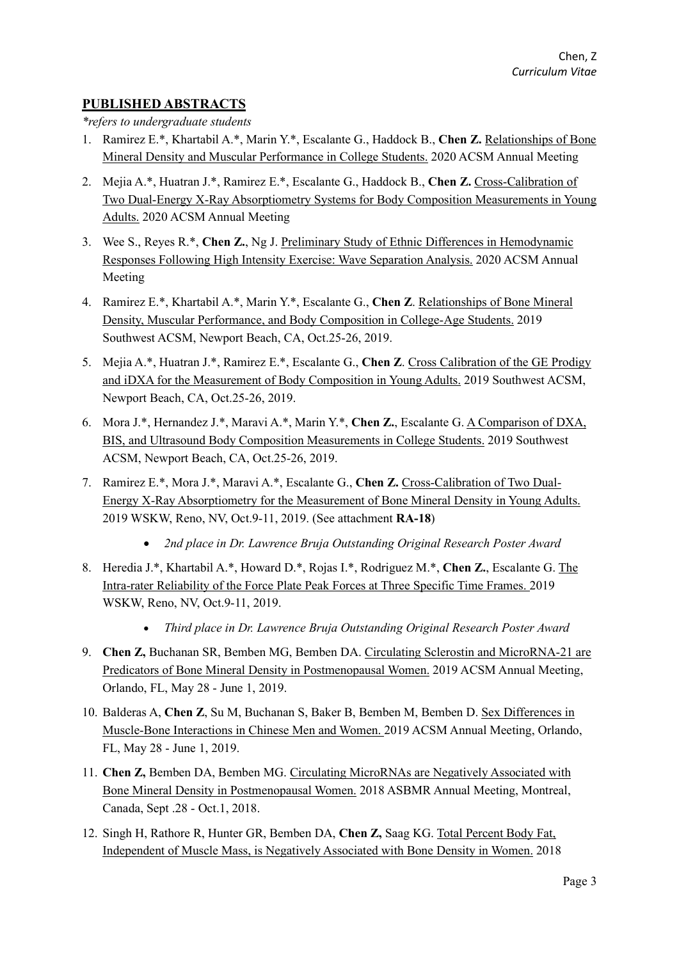# **PUBLISHED ABSTRACTS**

*\*refers to undergraduate students*

- 1. Ramirez E.\*, Khartabil A.\*, Marin Y.\*, Escalante G., Haddock B., **Chen Z.** Relationships of Bone Mineral Density and Muscular Performance in College Students. 2020 ACSM Annual Meeting
- 2. Mejia A.\*, Huatran J.\*, Ramirez E.\*, Escalante G., Haddock B., **Chen Z.** Cross-Calibration of Two Dual-Energy X-Ray Absorptiometry Systems for Body Composition Measurements in Young Adults. 2020 ACSM Annual Meeting
- 3. Wee S., Reyes R.\*, **Chen Z.**, Ng J. Preliminary Study of Ethnic Differences in Hemodynamic Responses Following High Intensity Exercise: Wave Separation Analysis. 2020 ACSM Annual Meeting
- 4. Ramirez E.\*, Khartabil A.\*, Marin Y.\*, Escalante G., **Chen Z**. Relationships of Bone Mineral Density, Muscular Performance, and Body Composition in College-Age Students. 2019 Southwest ACSM, Newport Beach, CA, Oct.25-26, 2019.
- 5. Mejia A.\*, Huatran J.\*, Ramirez E.\*, Escalante G., **Chen Z**. Cross Calibration of the GE Prodigy and iDXA for the Measurement of Body Composition in Young Adults. 2019 Southwest ACSM, Newport Beach, CA, Oct.25-26, 2019.
- 6. Mora J.\*, Hernandez J.\*, Maravi A.\*, Marin Y.\*, **Chen Z.**, Escalante G. A Comparison of DXA, BIS, and Ultrasound Body Composition Measurements in College Students. 2019 Southwest ACSM, Newport Beach, CA, Oct.25-26, 2019.
- 7. Ramirez E.\*, Mora J.\*, Maravi A.\*, Escalante G., **Chen Z.** Cross-Calibration of Two Dual-Energy X-Ray Absorptiometry for the Measurement of Bone Mineral Density in Young Adults. 2019 WSKW, Reno, NV, Oct.9-11, 2019. (See attachment **RA-18**)
	- *2nd place in Dr. Lawrence Bruja Outstanding Original Research Poster Award*
- 8. Heredia J.\*, Khartabil A.\*, Howard D.\*, Rojas I.\*, Rodriguez M.\*, **Chen Z.**, Escalante G. The Intra-rater Reliability of the Force Plate Peak Forces at Three Specific Time Frames. 2019 WSKW, Reno, NV, Oct.9-11, 2019.
	- *Third place in Dr. Lawrence Bruja Outstanding Original Research Poster Award*
- 9. **Chen Z,** Buchanan SR, Bemben MG, Bemben DA. Circulating Sclerostin and MicroRNA-21 are Predicators of Bone Mineral Density in Postmenopausal Women. 2019 ACSM Annual Meeting, Orlando, FL, May 28 - June 1, 2019.
- 10. Balderas A, **Chen Z**, Su M, Buchanan S, Baker B, Bemben M, Bemben D. Sex Differences in Muscle-Bone Interactions in Chinese Men and Women. 2019 ACSM Annual Meeting, Orlando, FL, May 28 - June 1, 2019.
- 11. **Chen Z,** Bemben DA, Bemben MG. Circulating MicroRNAs are Negatively Associated with Bone Mineral Density in Postmenopausal Women. 2018 ASBMR Annual Meeting, Montreal, Canada, Sept .28 - Oct.1, 2018.
- 12. Singh H, Rathore R, Hunter GR, Bemben DA, **Chen Z,** Saag KG. Total Percent Body Fat, Independent of Muscle Mass, is Negatively Associated with Bone Density in Women. 2018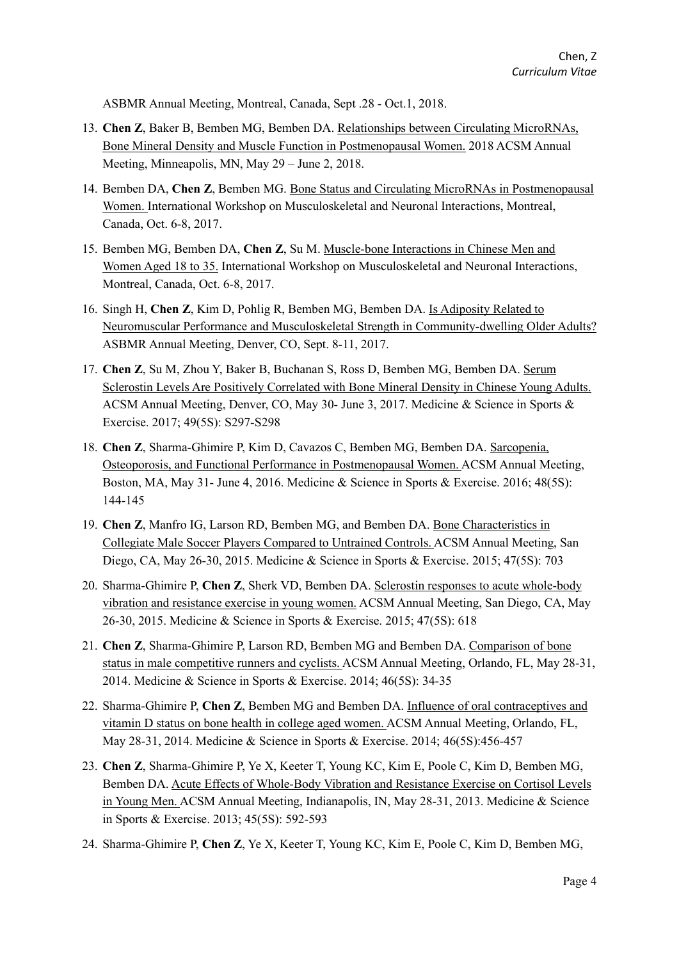ASBMR Annual Meeting, Montreal, Canada, Sept .28 - Oct.1, 2018.

- 13. **Chen Z**, Baker B, Bemben MG, Bemben DA. Relationships between Circulating MicroRNAs, Bone Mineral Density and Muscle Function in Postmenopausal Women. 2018 ACSM Annual Meeting, Minneapolis, MN, May 29 – June 2, 2018.
- 14. Bemben DA, **Chen Z**, Bemben MG. Bone Status and Circulating MicroRNAs in Postmenopausal Women. International Workshop on Musculoskeletal and Neuronal Interactions, Montreal, Canada, Oct. 6-8, 2017.
- 15. Bemben MG, Bemben DA, **Chen Z**, Su M. Muscle-bone Interactions in Chinese Men and Women Aged 18 to 35. International Workshop on Musculoskeletal and Neuronal Interactions, Montreal, Canada, Oct. 6-8, 2017.
- 16. Singh H, **Chen Z**, Kim D, Pohlig R, Bemben MG, Bemben DA. Is Adiposity Related to Neuromuscular Performance and Musculoskeletal Strength in Community-dwelling Older Adults? ASBMR Annual Meeting, Denver, CO, Sept. 8-11, 2017.
- 17. **Chen Z**, Su M, Zhou Y, Baker B, Buchanan S, Ross D, Bemben MG, Bemben DA. Serum Sclerostin Levels Are Positively Correlated with Bone Mineral Density in Chinese Young Adults. ACSM Annual Meeting, Denver, CO, May 30- June 3, 2017. Medicine & Science in Sports & Exercise. 2017; 49(5S): S297-S298
- 18. **Chen Z**, Sharma-Ghimire P, Kim D, Cavazos C, Bemben MG, Bemben DA. Sarcopenia, Osteoporosis, and Functional Performance in Postmenopausal Women. ACSM Annual Meeting, Boston, MA, May 31- June 4, 2016. Medicine & Science in Sports & Exercise. 2016; 48(5S): 144-145
- 19. **Chen Z**, Manfro IG, Larson RD, Bemben MG, and Bemben DA. Bone Characteristics in Collegiate Male Soccer Players Compared to Untrained Controls. ACSM Annual Meeting, San Diego, CA, May 26-30, 2015. Medicine & Science in Sports & Exercise. 2015; 47(5S): 703
- 20. Sharma-Ghimire P, **Chen Z**, Sherk VD, Bemben DA. Sclerostin responses to acute whole-body vibration and resistance exercise in young women. ACSM Annual Meeting, San Diego, CA, May 26-30, 2015. Medicine & Science in Sports & Exercise. 2015; 47(5S): 618
- 21. **Chen Z**, Sharma-Ghimire P, Larson RD, Bemben MG and Bemben DA. Comparison of bone status in male competitive runners and cyclists. ACSM Annual Meeting, Orlando, FL, May 28-31, 2014. Medicine & Science in Sports & Exercise. 2014; 46(5S): 34-35
- 22. Sharma-Ghimire P, **Chen Z**, Bemben MG and Bemben DA. Influence of oral contraceptives and vitamin D status on bone health in college aged women. ACSM Annual Meeting, Orlando, FL, May 28-31, 2014. Medicine & Science in Sports & Exercise. 2014; 46(5S):456-457
- 23. **Chen Z**, Sharma-Ghimire P, Ye X, Keeter T, Young KC, Kim E, Poole C, Kim D, Bemben MG, Bemben DA. Acute Effects of Whole-Body Vibration and Resistance Exercise on Cortisol Levels in Young Men. ACSM Annual Meeting, Indianapolis, IN, May 28-31, 2013. Medicine & Science in Sports & Exercise. 2013; 45(5S): 592-593
- 24. Sharma-Ghimire P, **Chen Z**, Ye X, Keeter T, Young KC, Kim E, Poole C, Kim D, Bemben MG,